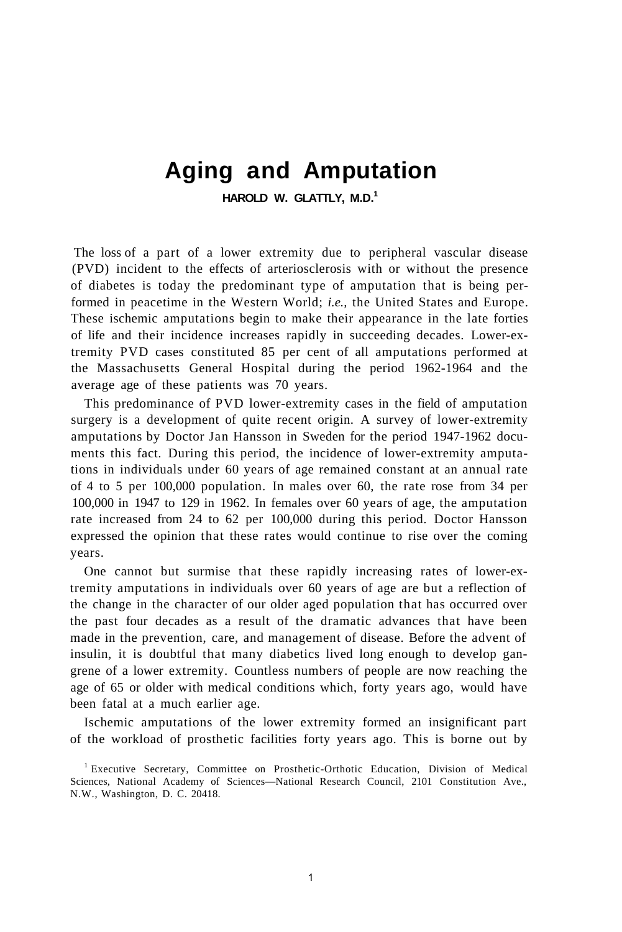## **Aging and Amputation**

**HAROLD W. GLATTLY, M.D.<sup>1</sup>**

The loss of a part of a lower extremity due to peripheral vascular disease (PVD) incident to the effects of arteriosclerosis with or without the presence of diabetes is today the predominant type of amputation that is being performed in peacetime in the Western World; *i.e.,* the United States and Europe. These ischemic amputations begin to make their appearance in the late forties of life and their incidence increases rapidly in succeeding decades. Lower-extremity PVD cases constituted 85 per cent of all amputations performed at the Massachusetts General Hospital during the period 1962-1964 and the average age of these patients was 70 years.

This predominance of PVD lower-extremity cases in the field of amputation surgery is a development of quite recent origin. A survey of lower-extremity amputations by Doctor Jan Hansson in Sweden for the period 1947-1962 documents this fact. During this period, the incidence of lower-extremity amputations in individuals under 60 years of age remained constant at an annual rate of 4 to 5 per 100,000 population. In males over 60, the rate rose from 34 per 100,000 in 1947 to 129 in 1962. In females over 60 years of age, the amputation rate increased from 24 to 62 per 100,000 during this period. Doctor Hansson expressed the opinion that these rates would continue to rise over the coming years.

One cannot but surmise that these rapidly increasing rates of lower-extremity amputations in individuals over 60 years of age are but a reflection of the change in the character of our older aged population that has occurred over the past four decades as a result of the dramatic advances that have been made in the prevention, care, and management of disease. Before the advent of insulin, it is doubtful that many diabetics lived long enough to develop gangrene of a lower extremity. Countless numbers of people are now reaching the age of 65 or older with medical conditions which, forty years ago, would have been fatal at a much earlier age.

Ischemic amputations of the lower extremity formed an insignificant part of the workload of prosthetic facilities forty years ago. This is borne out by

<sup>1</sup> Executive Secretary, Committee on Prosthetic-Orthotic Education, Division of Medical Sciences, National Academy of Sciences—National Research Council, 2101 Constitution Ave., N.W., Washington, D. C. 20418.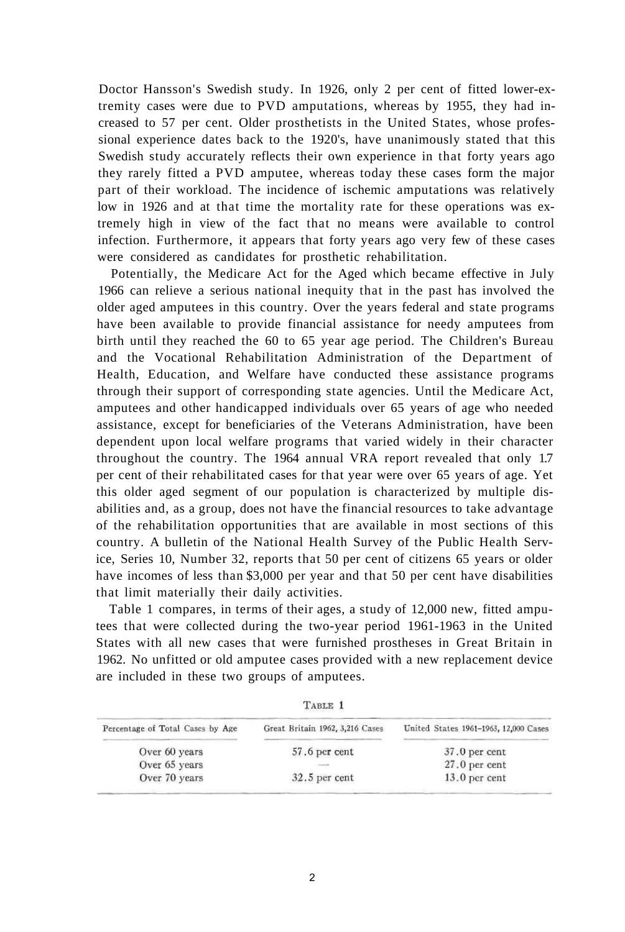Doctor Hansson's Swedish study. In 1926, only 2 per cent of fitted lower-extremity cases were due to PVD amputations, whereas by 1955, they had increased to 57 per cent. Older prosthetists in the United States, whose professional experience dates back to the 1920's, have unanimously stated that this Swedish study accurately reflects their own experience in that forty years ago they rarely fitted a PVD amputee, whereas today these cases form the major part of their workload. The incidence of ischemic amputations was relatively low in 1926 and at that time the mortality rate for these operations was extremely high in view of the fact that no means were available to control infection. Furthermore, it appears that forty years ago very few of these cases were considered as candidates for prosthetic rehabilitation.

Potentially, the Medicare Act for the Aged which became effective in July 1966 can relieve a serious national inequity that in the past has involved the older aged amputees in this country. Over the years federal and state programs have been available to provide financial assistance for needy amputees from birth until they reached the 60 to 65 year age period. The Children's Bureau and the Vocational Rehabilitation Administration of the Department of Health, Education, and Welfare have conducted these assistance programs through their support of corresponding state agencies. Until the Medicare Act, amputees and other handicapped individuals over 65 years of age who needed assistance, except for beneficiaries of the Veterans Administration, have been dependent upon local welfare programs that varied widely in their character throughout the country. The 1964 annual VRA report revealed that only 1.7 per cent of their rehabilitated cases for that year were over 65 years of age. Yet this older aged segment of our population is characterized by multiple disabilities and, as a group, does not have the financial resources to take advantage of the rehabilitation opportunities that are available in most sections of this country. A bulletin of the National Health Survey of the Public Health Service, Series 10, Number 32, reports that 50 per cent of citizens 65 years or older have incomes of less than \$3,000 per year and that 50 per cent have disabilities that limit materially their daily activities.

Table 1 compares, in terms of their ages, a study of 12,000 new, fitted amputees that were collected during the two-year period 1961-1963 in the United States with all new cases that were furnished prostheses in Great Britain in 1962. No unfitted or old amputee cases provided with a new replacement device are included in these two groups of amputees.

| TABLE 1 |  |
|---------|--|
|         |  |

| Percentage of Total Cases by Age | Great Britain 1962, 3,216 Cases | United States 1961-1963, 12,000 Cases |
|----------------------------------|---------------------------------|---------------------------------------|
| Over 60 years                    | 57.6 per cent                   | $37.0$ per cent                       |
| Over 65 years                    |                                 | $27.0$ per cent                       |
| Over 70 years                    | $32.5$ per cent                 | $13.0$ per cent                       |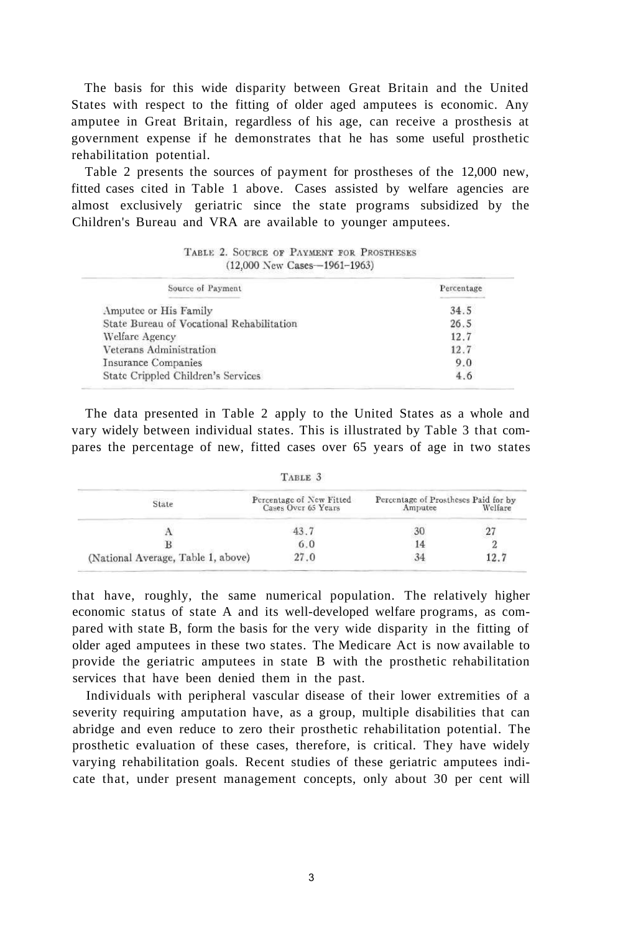The basis for this wide disparity between Great Britain and the United States with respect to the fitting of older aged amputees is economic. Any amputee in Great Britain, regardless of his age, can receive a prosthesis at government expense if he demonstrates that he has some useful prosthetic rehabilitation potential.

Table 2 presents the sources of payment for prostheses of the 12,000 new, fitted cases cited in Table 1 above. Cases assisted by welfare agencies are almost exclusively geriatric since the state programs subsidized by the Children's Bureau and VRA are available to younger amputees.

| Source of Payment                         | Percentage |
|-------------------------------------------|------------|
| Amputee or His Family                     | 34.5       |
| State Bureau of Vocational Rehabilitation | 26.5       |
| Welfare Agency                            | 12.7       |
| Veterans Administration                   | 12.7       |
| <b>Insurance Companies</b>                | 9.0        |
| State Crippled Children's Services        | 4.6        |

TABLE 2. SOURCE OF PAYMENT FOR PROSTHESES (12,000 New Cases-1961-1963)

The data presented in Table 2 apply to the United States as a whole and vary widely between individual states. This is illustrated by Table 3 that compares the percentage of new, fitted cases over 65 years of age in two states

|                                    | TABLE 3                                         |                                                 |         |
|------------------------------------|-------------------------------------------------|-------------------------------------------------|---------|
| State                              | Percentage of New Fitted<br>Cases Over 65 Years | Percentage of Prostheses Paid for by<br>Amputee | Welfare |
|                                    |                                                 |                                                 |         |
|                                    | 0.0                                             |                                                 |         |
| (National Average, Table 1, above) | 27.0                                            |                                                 |         |

that have, roughly, the same numerical population. The relatively higher economic status of state A and its well-developed welfare programs, as compared with state B, form the basis for the very wide disparity in the fitting of older aged amputees in these two states. The Medicare Act is now available to provide the geriatric amputees in state B with the prosthetic rehabilitation services that have been denied them in the past.

Individuals with peripheral vascular disease of their lower extremities of a severity requiring amputation have, as a group, multiple disabilities that can abridge and even reduce to zero their prosthetic rehabilitation potential. The prosthetic evaluation of these cases, therefore, is critical. They have widely varying rehabilitation goals. Recent studies of these geriatric amputees indicate that, under present management concepts, only about 30 per cent will